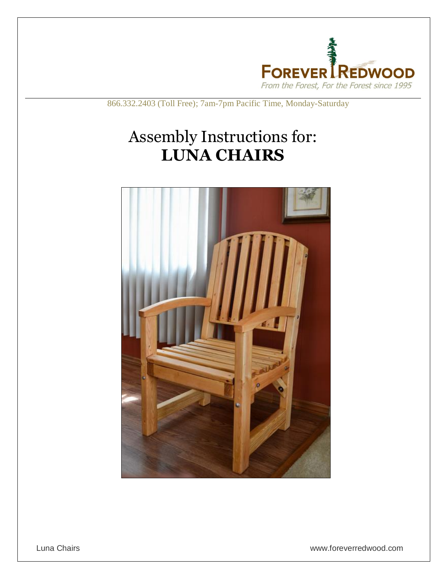

866.332.2403 (Toll Free); 7am-7pm Pacific Time, Monday-Saturday

## Assembly Instructions for: **LUNA CHAIRS**

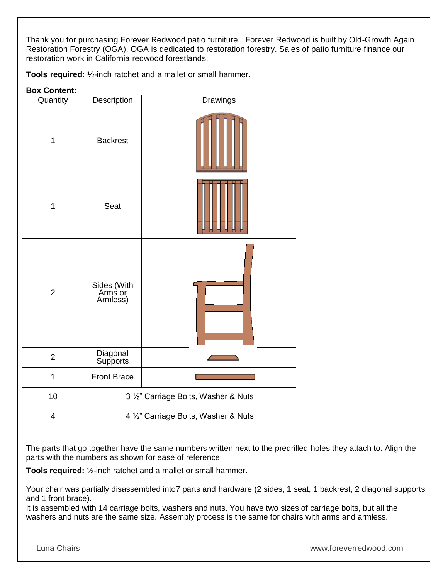Thank you for purchasing Forever Redwood patio furniture. Forever Redwood is built by Old-Growth Again Restoration Forestry (OGA). OGA is dedicated to restoration forestry. Sales of patio furniture finance our restoration work in California redwood forestlands.

**Tools required**: ½-inch ratchet and a mallet or small hammer.

## **Box Content:**

| Quantity       | Description                          | Drawings |
|----------------|--------------------------------------|----------|
| $\mathbf 1$    | <b>Backrest</b>                      |          |
| $\mathbf 1$    | Seat                                 |          |
| $\overline{2}$ | Sides (With<br>Arms or<br>Armless)   |          |
| $\overline{2}$ | Diagonal<br>Supports                 |          |
| 1              | <b>Front Brace</b>                   |          |
| 10             | 3 1/2" Carriage Bolts, Washer & Nuts |          |
| 4              | 4 1/2" Carriage Bolts, Washer & Nuts |          |

The parts that go together have the same numbers written next to the predrilled holes they attach to. Align the parts with the numbers as shown for ease of reference

**Tools required:** ½-inch ratchet and a mallet or small hammer.

Your chair was partially disassembled into7 parts and hardware (2 sides, 1 seat, 1 backrest, 2 diagonal supports and 1 front brace).

It is assembled with 14 carriage bolts, washers and nuts. You have two sizes of carriage bolts, but all the washers and nuts are the same size. Assembly process is the same for chairs with arms and armless.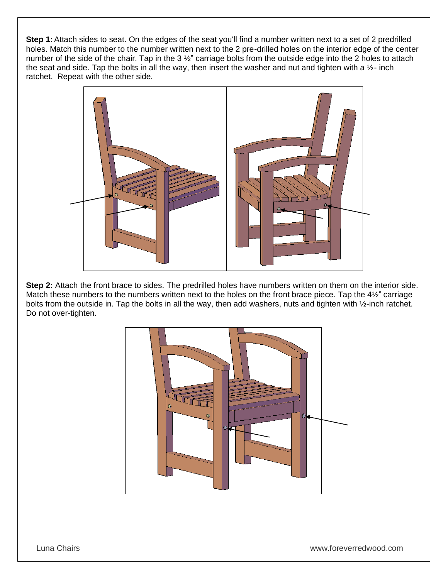**Step 1:**Attach sides to seat. On the edges of the seat you'll find a number written next to a set of 2 predrilled holes. Match this number to the number written next to the 2 pre-drilled holes on the interior edge of the center number of the side of the chair. Tap in the 3 %" carriage bolts from the outside edge into the 2 holes to attach the seat and side. Tap the bolts in all the way, then insert the washer and nut and tighten with a  $\frac{1}{2}$ - inch ratchet. Repeat with the other side.



**Step 2:** Attach the front brace to sides. The predrilled holes have numbers written on them on the interior side. Match these numbers to the numbers written next to the holes on the front brace piece. Tap the 4½" carriage bolts from the outside in. Tap the bolts in all the way, then add washers, nuts and tighten with ½-inch ratchet. Do not over-tighten.